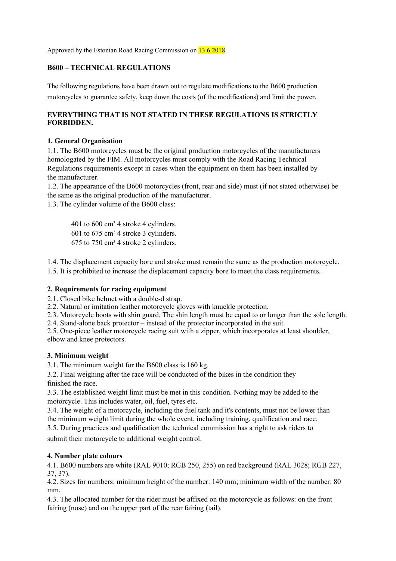Approved by the Estonian Road Racing Commission on 13.6.2018

### **B600 – TECHNICAL REGULATIONS**

The following regulations have been drawn out to regulate modifications to the B600 production motorcycles to guarantee safety, keep down the costs (of the modifications) and limit the power.

### **EVERYTHING THAT IS NOT STATED IN THESE REGULATIONS IS STRICTLY FORBIDDEN.**

#### **1. General Organisation**

1.1. The B600 motorcycles must be the original production motorcycles of the manufacturers homologated by the FIM. All motorcycles must comply with the Road Racing Technical Regulations requirements except in cases when the equipment on them has been installed by the manufacturer.

1.2. The appearance of the B600 motorcycles (front, rear and side) must (if not stated otherwise) be the same as the original production of the manufacturer.

1.3. The cylinder volume of the B600 class:

401 to  $600 \text{ cm}^3$  4 stroke 4 cylinders. 601 to  $675 \text{ cm}^3$  4 stroke 3 cylinders.  $675$  to  $750$  cm<sup>3</sup> 4 stroke 2 cylinders.

1.4. The displacement capacity bore and stroke must remain the same as the production motorcycle. 1.5. It is prohibited to increase the displacement capacity bore to meet the class requirements.

### **2. Requirements for racing equipment**

2.1. Closed bike helmet with a double-d strap.

2.2. Natural or imitation leather motorcycle gloves with knuckle protection.

2.3. Motorcycle boots with shin guard. The shin length must be equal to or longer than the sole length.

2.4. Stand-alone back protector – instead of the protector incorporated in the suit.

2.5. One-piece leather motorcycle racing suit with a zipper, which incorporates at least shoulder, elbow and knee protectors.

### **3. Minimum weight**

3.1. The minimum weight for the B600 class is 160 kg.

3.2. Final weighing after the race will be conducted of the bikes in the condition they finished the race.

3.3. The established weight limit must be met in this condition. Nothing may be added to the motorcycle. This includes water, oil, fuel, tyres etc.

3.4. The weight of a motorcycle, including the fuel tank and it's contents, must not be lower than the minimum weight limit during the whole event, including training, qualification and race.

3.5. During practices and qualification the technical commission has a right to ask riders to

submit their motorcycle to additional weight control.

### **4. Number plate colours**

4.1. B600 numbers are white (RAL 9010; RGB 250, 255) on red background (RAL 3028; RGB 227, 37, 37).

4.2. Sizes for numbers: minimum height of the number: 140 mm; minimum width of the number: 80 mm.

4.3. The allocated number for the rider must be affixed on the motorcycle as follows: on the front fairing (nose) and on the upper part of the rear fairing (tail).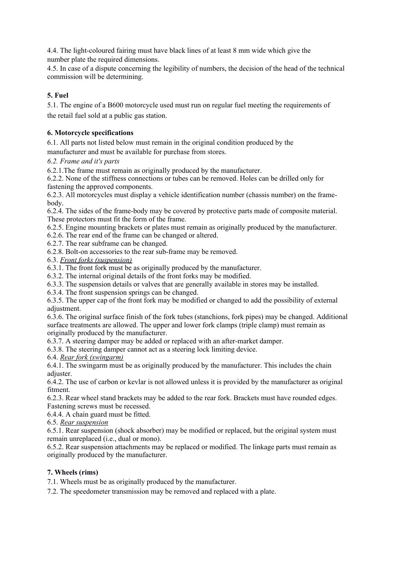4.4. The light-coloured fairing must have black lines of at least 8 mm wide which give the number plate the required dimensions.

4.5. In case of a dispute concerning the legibility of numbers, the decision of the head of the technical commission will be determining.

# **5. Fuel**

5.1. The engine of a B600 motorcycle used must run on regular fuel meeting the requirements of the retail fuel sold at a public gas station.

## **6. Motorcycle specifications**

6.1. All parts not listed below must remain in the original condition produced by the

manufacturer and must be available for purchase from stores.

### *6.2. Frame and it's parts*

6.2.1.The frame must remain as originally produced by the manufacturer.

6.2.2. None of the stiffness connections or tubes can be removed. Holes can be drilled only for fastening the approved components.

6.2.3. All motorcycles must display a vehicle identification number (chassis number) on the framebody.

6.2.4. The sides of the frame-body may be covered by protective parts made of composite material. These protectors must fit the form of the frame.

6.2.5. Engine mounting brackets or plates must remain as originally produced by the manufacturer.

6.2.6. The rear end of the frame can be changed or altered.

6.2.7. The rear subframe can be changed.

6.2.8. Bolt-on accessories to the rear sub-frame may be removed.

6.3. *Front forks (suspension)*

6.3.1. The front fork must be as originally produced by the manufacturer.

6.3.2. The internal original details of the front forks may be modified.

6.3.3. The suspension details or valves that are generally available in stores may be installed.

6.3.4. The front suspension springs can be changed.

6.3.5. The upper cap of the front fork may be modified or changed to add the possibility of external adjustment.

6.3.6. The original surface finish of the fork tubes (stanchions, fork pipes) may be changed. Additional surface treatments are allowed. The upper and lower fork clamps (triple clamp) must remain as originally produced by the manufacturer.

6.3.7. A steering damper may be added or replaced with an after-market damper.

6.3.8. The steering damper cannot act as a steering lock limiting device.

6.4. *Rear fork (swingarm)*

6.4.1. The swingarm must be as originally produced by the manufacturer. This includes the chain adjuster.

6.4.2. The use of carbon or kevlar is not allowed unless it is provided by the manufacturer as original fitment.

6.2.3. Rear wheel stand brackets may be added to the rear fork. Brackets must have rounded edges. Fastening screws must be recessed.

6.4.4. A chain guard must be fitted.

6.5. *Rear suspension*

6.5.1. Rear suspension (shock absorber) may be modified or replaced, but the original system must remain unreplaced (i.e., dual or mono).

6.5.2. Rear suspension attachments may be replaced or modified. The linkage parts must remain as originally produced by the manufacturer.

### **7. Wheels (rims)**

7.1. Wheels must be as originally produced by the manufacturer.

7.2. The speedometer transmission may be removed and replaced with a plate.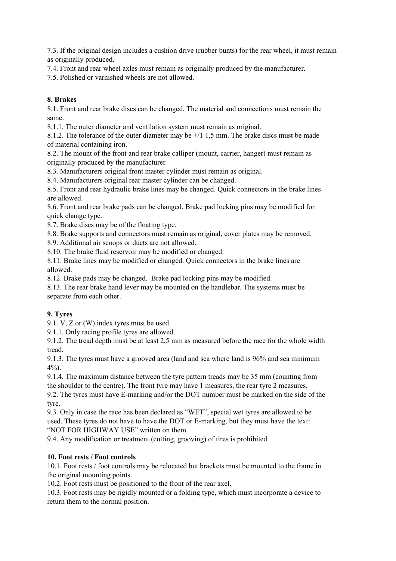7.3. If the original design includes a cushion drive (rubber bunts) for the rear wheel, it must remain as originally produced.

7.4. Front and rear wheel axles must remain as originally produced by the manufacturer.

7.5. Polished or varnished wheels are not allowed.

# **8. Brakes**

8.1. Front and rear brake discs can be changed. The material and connections must remain the same.

8.1.1. The outer diameter and ventilation system must remain as original.

8.1.2. The tolerance of the outer diameter may be +/1 1,5 mm. The brake discs must be made of material containing iron.

8.2. The mount of the front and rear brake calliper (mount, carrier, hanger) must remain as originally produced by the manufacturer

8.3. Manufacturers original front master cylinder must remain as original.

8.4. Manufacturers original rear master cylinder can be changed.

8.5. Front and rear hydraulic brake lines may be changed. Quick connectors in the brake lines are allowed.

8.6. Front and rear brake pads can be changed. Brake pad locking pins may be modified for quick change type.

8.7. Brake discs may be of the floating type.

8.8. Brake supports and connectors must remain as original, cover plates may be removed.

8.9. Additional air scoops or ducts are not allowed.

8.10. The brake fluid reservoir may be modified or changed.

8.11. Brake lines may be modified or changed. Quick connectors in the brake lines are allowed.

8.12. Brake pads may be changed. Brake pad locking pins may be modified.

8.13. The rear brake hand lever may be mounted on the handlebar. The systems must be separate from each other.

### **9. Tyres**

9.1. V, Z or (W) index tyres must be used.

9.1.1. Only racing profile tyres are allowed.

9.1.2. The tread depth must be at least 2,5 mm as measured before the race for the whole width tread.

9.1.3. The tyres must have a grooved area (land and sea where land is 96% and sea minimum 4%).

9.1.4. The maximum distance between the tyre pattern treads may be 35 mm (counting from the shoulder to the centre). The front tyre may have 1 measures, the rear tyre 2 measures. 9.2. The tyres must have E-marking and/or the DOT number must be marked on the side of the tyre.

9.3. Only in case the race has been declared as "WET", special wet tyres are allowed to be used. These tyres do not have to have the DOT or E-marking, but they must have the text: "NOT FOR HIGHWAY USE" written on them.

9.4. Any modification or treatment (cutting, grooving) of tires is prohibited.

### **10. Foot rests / Foot controls**

10.1. Foot rests / foot controls may be relocated but brackets must be mounted to the frame in the original mounting points.

10.2. Foot rests must be positioned to the front of the rear axel.

10.3. Foot rests may be rigidly mounted or a folding type, which must incorporate a device to return them to the normal position.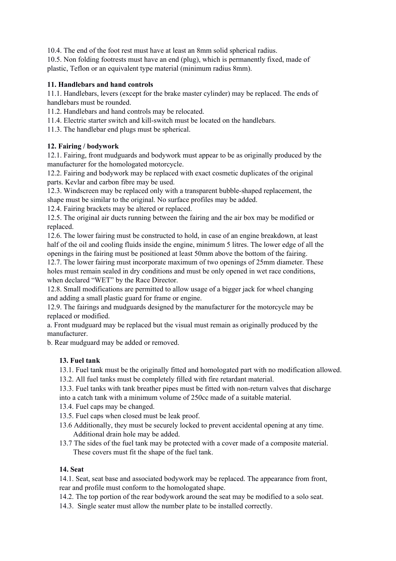10.4. The end of the foot rest must have at least an 8mm solid spherical radius. 10.5. Non folding footrests must have an end (plug), which is permanently fixed, made of plastic, Teflon or an equivalent type material (minimum radius 8mm).

# **11. Handlebars and hand controls**

11.1. Handlebars, levers (except for the brake master cylinder) may be replaced. The ends of handlebars must be rounded.

11.2. Handlebars and hand controls may be relocated.

11.4. Electric starter switch and kill-switch must be located on the handlebars.

11.3. The handlebar end plugs must be spherical.

# **12. Fairing / bodywork**

12.1. Fairing, front mudguards and bodywork must appear to be as originally produced by the manufacturer for the homologated motorcycle.

12.2. Fairing and bodywork may be replaced with exact cosmetic duplicates of the original parts. Kevlar and carbon fibre may be used.

12.3. Windscreen may be replaced only with a transparent bubble-shaped replacement, the shape must be similar to the original. No surface profiles may be added.

12.4. Fairing brackets may be altered or replaced.

12.5. The original air ducts running between the fairing and the air box may be modified or replaced.

12.6. The lower fairing must be constructed to hold, in case of an engine breakdown, at least half of the oil and cooling fluids inside the engine, minimum 5 litres. The lower edge of all the openings in the fairing must be positioned at least 50mm above the bottom of the fairing.

12.7. The lower fairing must incorporate maximum of two openings of 25mm diameter. These holes must remain sealed in dry conditions and must be only opened in wet race conditions, when declared "WET" by the Race Director.

12.8. Small modifications are permitted to allow usage of a bigger jack for wheel changing and adding a small plastic guard for frame or engine.

12.9. The fairings and mudguards designed by the manufacturer for the motorcycle may be replaced or modified.

a. Front mudguard may be replaced but the visual must remain as originally produced by the manufacturer.

b. Rear mudguard may be added or removed.

# **13. Fuel tank**

- 13.1. Fuel tank must be the originally fitted and homologated part with no modification allowed.
- 13.2. All fuel tanks must be completely filled with fire retardant material.
- 13.3. Fuel tanks with tank breather pipes must be fitted with non-return valves that discharge

into a catch tank with a minimum volume of 250cc made of a suitable material.

- 13.4. Fuel caps may be changed.
- 13.5. Fuel caps when closed must be leak proof.
- 13.6 Additionally, they must be securely locked to prevent accidental opening at any time. Additional drain hole may be added.
- 13.7 The sides of the fuel tank may be protected with a cover made of a composite material. These covers must fit the shape of the fuel tank.

### **14. Seat**

14.1. Seat, seat base and associated bodywork may be replaced. The appearance from front, rear and profile must conform to the homologated shape.

14.2. The top portion of the rear bodywork around the seat may be modified to a solo seat.

14.3. Single seater must allow the number plate to be installed correctly.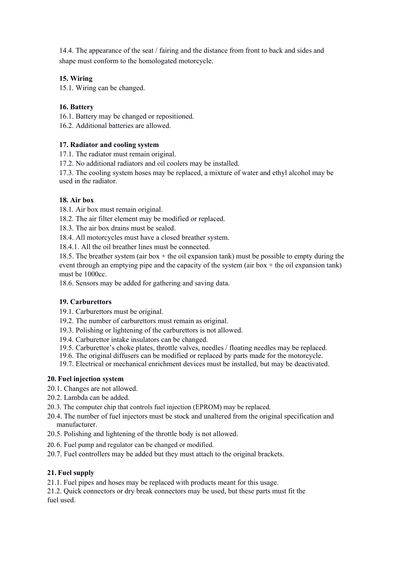14.4. The appearance of the seat / fairing and the distance from front to back and sides and shape must conform to the homologated motorcycle.

## **15. Wiring**

15.1. Wiring can be changed.

## **16. Battery**

16.1. Battery may be changed or repositioned.

16.2. Additional batteries are allowed.

### **17. Radiator and cooling system**

17.1. The radiator must remain original.

17.2. No additional radiators and oil coolers may be installed.

17.3. The cooling system hoses may be replaced, a mixture of water and ethyl alcohol may be used in the radiator.

### **18. Air box**

18.1. Air box must remain original.

18.2. The air filter element may be modified or replaced.

18.3. The air box drains must be sealed.

18.4. All motorcycles must have a closed breather system.

18.4.1. All the oil breather lines must be connected.

18.5. The breather system (air box  $+$  the oil expansion tank) must be possible to empty during the event through an emptying pipe and the capacity of the system (air box  $+$  the oil expansion tank) must be 1000cc.

18.6. Sensors may be added for gathering and saving data.

### **19. Carburettors**

19.1. Carburettors must be original.

- 19.2. The number of carburettors must remain as original.
- 19.3. Polishing or lightening of the carburettors is not allowed.
- 19.4. Carburettor intake insulators can be changed.
- 19.5. Carburettor's choke plates, throttle valves, needles / floating needles may be replaced.

19.6. The original diffusers can be modified or replaced by parts made for the motorcycle.

19.7. Electrical or mechanical enrichment devices must be installed, but may be deactivated.

### **20. Fuel injection system**

20.1. Changes are not allowed.

- 20.2. Lambda can be added.
- 20.3. The computer chip that controls fuel injection (EPROM) may be replaced.
- 20.4. The number of fuel injectors must be stock and unaltered from the original specification and manufacturer.
- 20.5. Polishing and lightening of the throttle body is not allowed.
- 20. 6. Fuel pump and regulator can be changed or modified.
- 20.7. Fuel controllers may be added but they must attach to the original brackets.

### **21. Fuel supply**

21.1. Fuel pipes and hoses may be replaced with products meant for this usage.

21.2. Quick connectors or dry break connectors may be used, but these parts must fit the fuel used.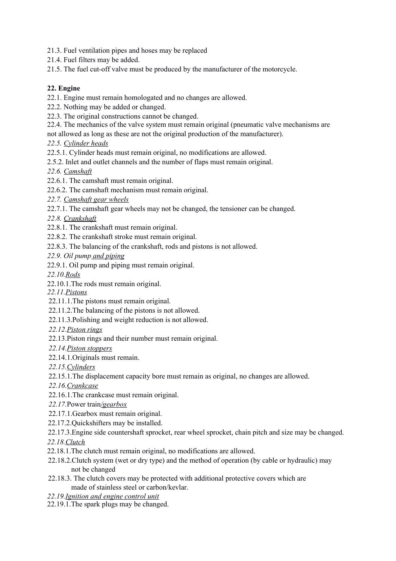21.3. Fuel ventilation pipes and hoses may be replaced

- 21.4. Fuel filters may be added.
- 21.5. The fuel cut-off valve must be produced by the manufacturer of the motorcycle.

# **22. Engine**

- 22.1. Engine must remain homologated and no changes are allowed.
- 22.2. Nothing may be added or changed.
- 22.3. The original constructions cannot be changed.
- 22.4. The mechanics of the valve system must remain original (pneumatic valve mechanisms are
- not allowed as long as these are not the original production of the manufacturer).
- *22.5. Cylinder heads*
- 22.5.1. Cylinder heads must remain original, no modifications are allowed.
- 2.5.2. Inlet and outlet channels and the number of flaps must remain original.
- *22.6. Camshaft*
- 22.6.1. The camshaft must remain original.
- 22.6.2. The camshaft mechanism must remain original.
- *22.7. Camshaft gear wheels*
- 22.7.1. The camshaft gear wheels may not be changed, the tensioner can be changed.
- *22.8. Crankshaft*
- 22.8.1. The crankshaft must remain original.
- 22.8.2. The crankshaft stroke must remain original.
- 22.8.3. The balancing of the crankshaft, rods and pistons is not allowed.
- *22.9. Oil pump and piping*
- 22.9.1. Oil pump and piping must remain original.
- *22.10.Rods*
- 22.10.1.The rods must remain original.
- *22.11.Pistons*
- 22.11.1.The pistons must remain original.
- 22.11.2.The balancing of the pistons is not allowed.
- 22.11.3.Polishing and weight reduction is not allowed.
- *22.12.Piston rings*
- 22.13.Piston rings and their number must remain original.
- *22.14.Piston stoppers*
- 22.14.1.Originals must remain.
- *22.15.Cylinders*
- 22.15.1.The displacement capacity bore must remain as original, no changes are allowed.
- *22.16.Crankcase*
- 22.16.1.The crankcase must remain original.
- *22.17.*Power train*/gearbox*
- 22.17.1.Gearbox must remain original.
- 22.17.2.Quickshifters may be installed.
- 22.17.3.Engine side countershaft sprocket, rear wheel sprocket, chain pitch and size may be changed.

*22.18.Clutch*

- 22.18.1.The clutch must remain original, no modifications are allowed.
- 22.18.2.Clutch system (wet or dry type) and the method of operation (by cable or hydraulic) may not be changed
- 22.18.3. The clutch covers may be protected with additional protective covers which are made of stainless steel or carbon/kevlar.
- *22.19.Ignition and engine control unit*
- 22.19.1.The spark plugs may be changed.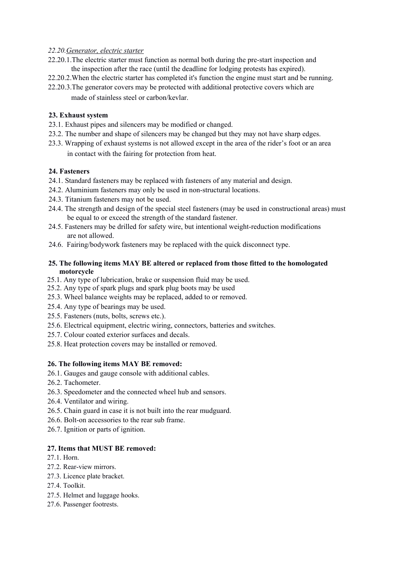## *22.20.Generator, electric starter*

- 22.20.1.The electric starter must function as normal both during the pre-start inspection and the inspection after the race (until the deadline for lodging protests has expired).
- 22.20.2.When the electric starter has completed it's function the engine must start and be running.
- 22.20.3.The generator covers may be protected with additional protective covers which are made of stainless steel or carbon/kevlar.

# **23. Exhaust system**

- 23.1. Exhaust pipes and silencers may be modified or changed.
- 23.2. The number and shape of silencers may be changed but they may not have sharp edges.
- 23.3. Wrapping of exhaust systems is not allowed except in the area of the rider's foot or an area in contact with the fairing for protection from heat.

# **24. Fasteners**

- 24.1. Standard fasteners may be replaced with fasteners of any material and design.
- 24.2. Aluminium fasteners may only be used in non-structural locations.
- 24.3. Titanium fasteners may not be used.
- 24.4. The strength and design of the special steel fasteners (may be used in constructional areas) must be equal to or exceed the strength of the standard fastener.
- 24.5. Fasteners may be drilled for safety wire, but intentional weight-reduction modifications are not allowed.
- 24.6. Fairing/bodywork fasteners may be replaced with the quick disconnect type.

### **25. The following items MAY BE altered or replaced from those fitted to the homologated motorcycle**

- 25.1. Any type of lubrication, brake or suspension fluid may be used.
- 25.2. Any type of spark plugs and spark plug boots may be used
- 25.3. Wheel balance weights may be replaced, added to or removed.
- 25.4. Any type of bearings may be used.
- 25.5. Fasteners (nuts, bolts, screws etc.).
- 25.6. Electrical equipment, electric wiring, connectors, batteries and switches.
- 25.7. Colour coated exterior surfaces and decals.
- 25.8. Heat protection covers may be installed or removed.

### **26. The following items MAY BE removed:**

- 26.1. Gauges and gauge console with additional cables.
- 26.2. Tachometer.
- 26.3. Speedometer and the connected wheel hub and sensors.
- 26.4. Ventilator and wiring.
- 26.5. Chain guard in case it is not built into the rear mudguard.
- 26.6. Bolt-on accessories to the rear sub frame.
- 26.7. Ignition or parts of ignition.

### **27. Items that MUST BE removed:**

- 27.1. Horn.
- 27.2. Rear-view mirrors.
- 27.3. Licence plate bracket.
- 27.4. Toolkit.
- 27.5. Helmet and luggage hooks.
- 27.6. Passenger footrests.